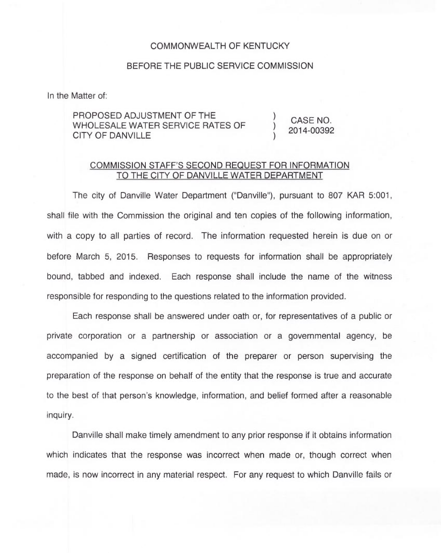## COMMONWEALTH OF KENTUCKY

## BEFORE THE PUBLIC SERVICE COMMISSION

In the Matter of:

## PROPOSED ADJUSTMENT OF THE WHOLESALE WATER SERVICE RATES OF CITY OF DANVILLE

CASE NO. 2014-00392

) )

## COMMISSION STAFF'S SECOND REQUEST FOR INFORMATION TO THE CITY OF DANVILLE WATER DEPARTMENT

The city of Danville Water Department ("Danville"), pursuant to 807 KAR 5:001, shall file with the Commission the original and ten copies of the following information, with a copy to all parties of record. The information requested herein is due on or before March 5, 2015. Responses to requests for information shall be appropriately bound, tabbed and indexed. Each response shall include the name of the witness responsible for responding to the questions related to the information provided.

Each response shall be answered under oath or, for representatives of a public or private corporation or a partnership or association or a governmental agency, be accompanied by a signed certification of the preparer or person supervising the preparation of the response on behalf of the entity that the response is true and accurate to the best of that person's knowledge, information, and belief formed after a reasonable inquiry.

Danville shall make timely amendment to any prior response if it obtains information which indicates that the response was incorrect when made or, though correct when made, is now incorrect in any material respect. For any request to which Danville fails or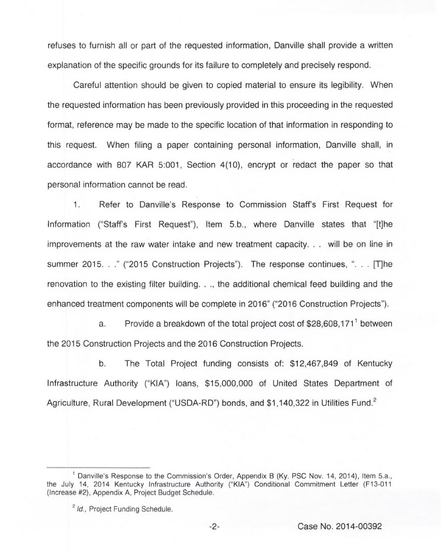refuses to furnish all or part of the requested information, Danville shall provide a written explanation of the specific grounds for its failure to completely and precisely respond.

Careful attention should be given to copied material to ensure its legibility. When the requested information has been previously provided in this proceeding in the requested format, reference may be made to the specific location of that information in responding to this request. When filing a paper containing personal information, Danville shall, in accordance with 807 KAR 5:001, Section 4(10), encrypt or redact the paper so that personal information cannot be read.

1. Refer to Danville's Response to Commission Staff's First Request for Information ("Staff's First Request"), Item 5.b., where Danville states that "[t]he improvements at the raw water intake and new treatment capacity... will be on line in summer 2015..." ("2015 Construction Projects"). The response continues, "... [T]he renovation to the existing filter building..., the additional chemical feed building and the enhanced treatment components will be complete in 2016" ("2016 Construction Projects").

a. Provide a breakdown of the total project cost of  $$28,608,171$ <sup>1</sup> between the 2015 Construction Projects and the 2016 Construction Projects.

b. The Total Project funding consists of: \$12,467,849 of Kentucky Infrastructure Authority ("KIA") loans, \$15,000,000 of United States Department of Agriculture, Rural Development ("USDA-RD") bonds, and \$1.140.322 in Utilities Fund.<sup>2</sup>

 $-2-$ 

<sup>&</sup>lt;sup>1</sup> Danville's Response to the Commission's Order, Appendix B (Ky. PSC Nov. 14, 2014), Item 5.a., the July 14, 2014 Kentucky Infrastructure Authority ("KIA") Conditional Commitment Letter (F13-011 (Increase #2), Appendix A, Project Budget Schedule.

<sup>&</sup>lt;sup>2</sup> Id., Project Funding Schedule.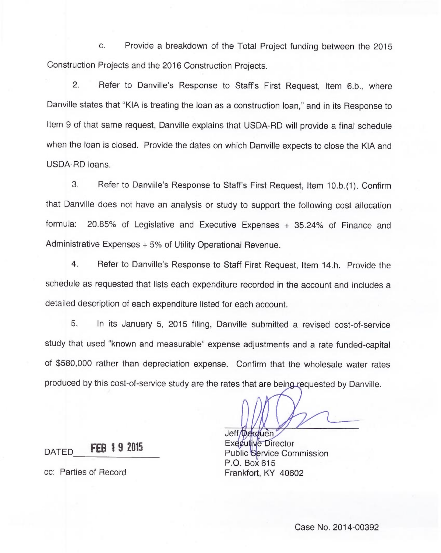c. Provide a breakdown of the Total Project funding between the 2015 Construction Projects and the 2016 Construction Projects.

2. Refer to Danville's Response to Staff's First Request, Item 6.b., where Danville states that "KIA is treating the loan as a construction loan," and in its Response to Item 9 of that same request, Danville explains that USDA-RD will provide a final schedule when the loan is closed. Provide the dates on which Danville expects to close the KIA and USDA-RD loans.

3. Refer to Danville's Response to Staff's First Request, Item 10.b.(1).Confirm that Danville does not have an analysis or study to support the following cost allocation formula: 20.85% of Legislative and Executive Expenses + 35.24% of Finance and Administrative Expenses + 5% of Utility Operational Revenue.

4. Refer to Danville's Response to Staff First Request, Item 14.h. Provide the schedule as requested that lists each expenditure recorded in the account and includes a detailed description of each expenditure listed for each account.

5. In its January 5, 2015 filing, Danville submitted a revised cost-of-service study that used "known and measurable" expense adjustments and a rate funded-capital of \$580,000 rather than depreciation expense. Confirm that the wholesale water rates produced by this cost-of-service study are the rates that are being requested by Danville.

**FER 19 2015** DATED

cc: Parties of Record

Jeff Derouen Executive Director Public Service Commissio P.O. Box 615 Frankfort, KY 40602

Case No. 2014-00392